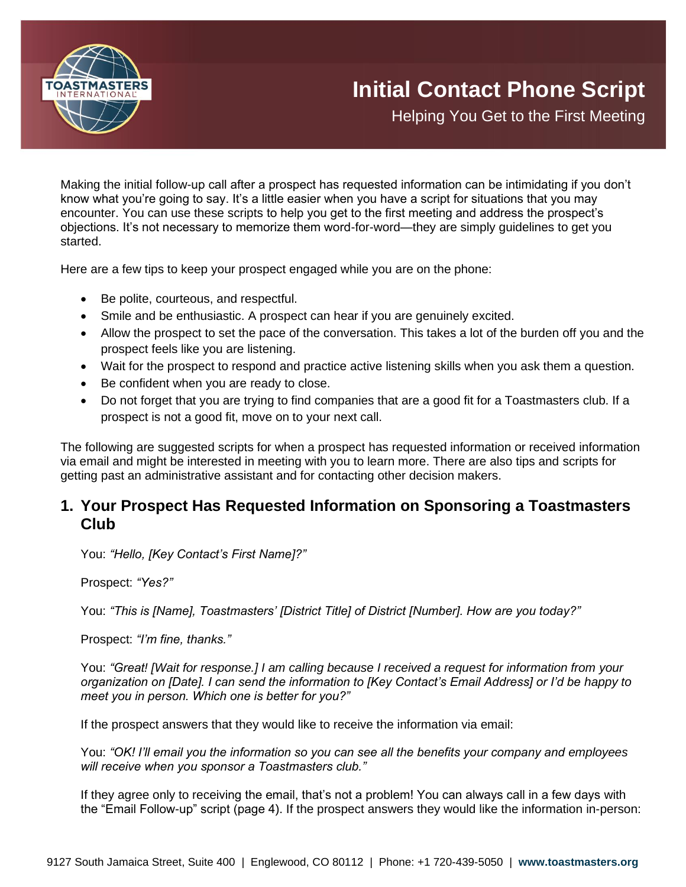

Helping You Get to the First Meeting

Making the initial follow-up call after a prospect has requested information can be intimidating if you don't know what you're going to say. It's a little easier when you have a script for situations that you may encounter. You can use these scripts to help you get to the first meeting and address the prospect's objections. It's not necessary to memorize them word-for-word—they are simply guidelines to get you started.

Here are a few tips to keep your prospect engaged while you are on the phone:

- Be polite, courteous, and respectful.
- Smile and be enthusiastic. A prospect can hear if you are genuinely excited.
- Allow the prospect to set the pace of the conversation. This takes a lot of the burden off you and the prospect feels like you are listening.
- Wait for the prospect to respond and practice active listening skills when you ask them a question.
- Be confident when you are ready to close.
- Do not forget that you are trying to find companies that are a good fit for a Toastmasters club. If a prospect is not a good fit, move on to your next call.

The following are suggested scripts for when a prospect has requested information or received information via email and might be interested in meeting with you to learn more. There are also tips and scripts for getting past an administrative assistant and for contacting other decision makers.

# **1. Your Prospect Has Requested Information on Sponsoring a Toastmasters Club**

You: *"Hello, [Key Contact's First Name]?"*

Prospect: *"Yes?"*

You: *"This is [Name], Toastmasters' [District Title] of District [Number]. How are you today?"*

Prospect: *"I'm fine, thanks."*

You: *"Great! [Wait for response.] I am calling because I received a request for information from your organization on [Date]. I can send the information to [Key Contact's Email Address] or I'd be happy to meet you in person. Which one is better for you?"*

If the prospect answers that they would like to receive the information via email:

You: *"OK! I'll email you the information so you can see all the benefits your company and employees will receive when you sponsor a Toastmasters club."*

If they agree only to receiving the email, that's not a problem! You can always call in a few days with the "Email Follow-up" script (page 4). If the prospect answers they would like the information in-person: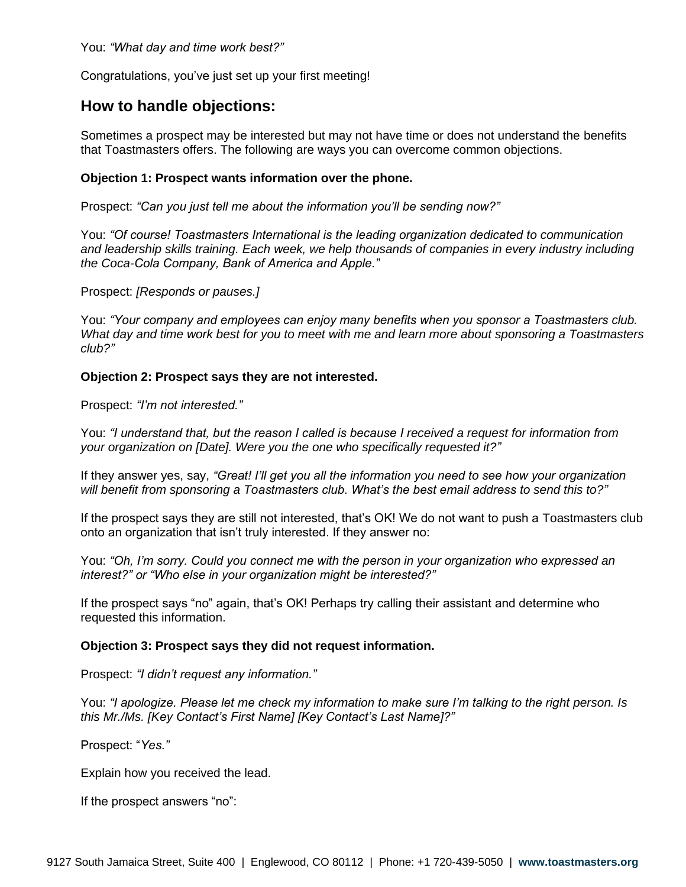You: *"What day and time work best?"*

Congratulations, you've just set up your first meeting!

## **How to handle objections:**

Sometimes a prospect may be interested but may not have time or does not understand the benefits that Toastmasters offers. The following are ways you can overcome common objections.

#### **Objection 1: Prospect wants information over the phone.**

Prospect: *"Can you just tell me about the information you'll be sending now?"*

You: *"Of course! Toastmasters International is the leading organization dedicated to communication and leadership skills training. Each week, we help thousands of companies in every industry including the Coca-Cola Company, Bank of America and Apple."*

Prospect: *[Responds or pauses.]*

You: *"Your company and employees can enjoy many benefits when you sponsor a Toastmasters club. What day and time work best for you to meet with me and learn more about sponsoring a Toastmasters club?"*

#### **Objection 2: Prospect says they are not interested.**

Prospect: *"I'm not interested."*

You: *"I understand that, but the reason I called is because I received a request for information from your organization on [Date]. Were you the one who specifically requested it?"*

If they answer yes, say, *"Great! I'll get you all the information you need to see how your organization will benefit from sponsoring a Toastmasters club. What's the best email address to send this to?"*

If the prospect says they are still not interested, that's OK! We do not want to push a Toastmasters club onto an organization that isn't truly interested. If they answer no:

You: *"Oh, I'm sorry. Could you connect me with the person in your organization who expressed an interest?" or "Who else in your organization might be interested?"*

If the prospect says "no" again, that's OK! Perhaps try calling their assistant and determine who requested this information.

#### **Objection 3: Prospect says they did not request information.**

Prospect: *"I didn't request any information."*

You: *"I apologize. Please let me check my information to make sure I'm talking to the right person. Is this Mr./Ms. [Key Contact's First Name] [Key Contact's Last Name]?"*

Prospect: "*Yes."*

Explain how you received the lead.

If the prospect answers "no":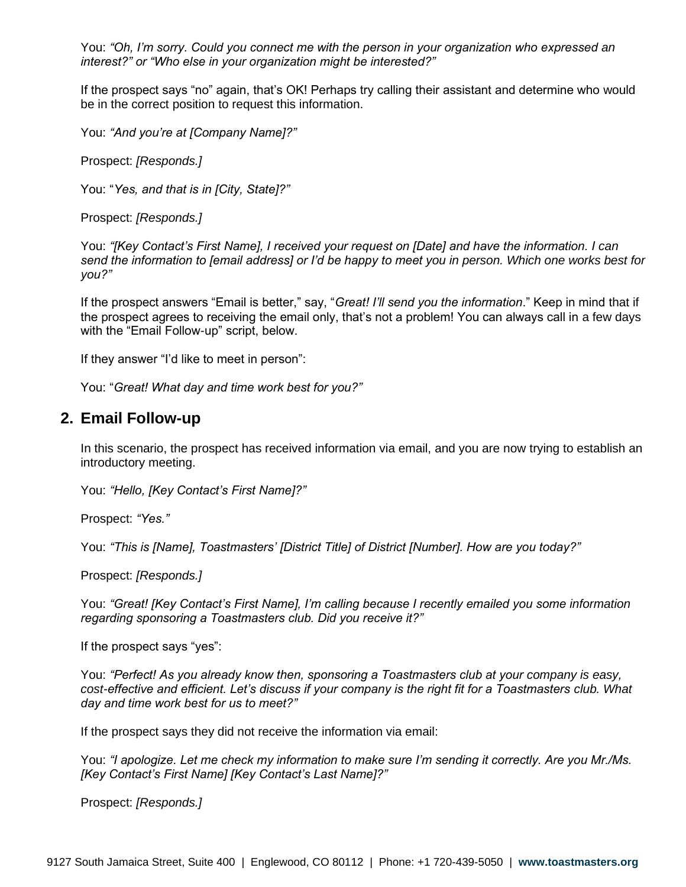You: *"Oh, I'm sorry. Could you connect me with the person in your organization who expressed an interest?" or "Who else in your organization might be interested?"*

If the prospect says "no" again, that's OK! Perhaps try calling their assistant and determine who would be in the correct position to request this information.

You: *"And you're at [Company Name]?"*

Prospect: *[Responds.]*

You: "*Yes, and that is in [City, State]?"*

Prospect: *[Responds.]*

You: *"[Key Contact's First Name], I received your request on [Date] and have the information. I can send the information to [email address] or I'd be happy to meet you in person. Which one works best for you?"*

If the prospect answers "Email is better," say, "*Great! I'll send you the information*." Keep in mind that if the prospect agrees to receiving the email only, that's not a problem! You can always call in a few days with the "Email Follow-up" script, below.

If they answer "I'd like to meet in person":

You: "*Great! What day and time work best for you?"*

### **2. Email Follow-up**

In this scenario, the prospect has received information via email, and you are now trying to establish an introductory meeting.

You: *"Hello, [Key Contact's First Name]?"*

Prospect: *"Yes."*

You: *"This is [Name], Toastmasters' [District Title] of District [Number]. How are you today?"*

Prospect: *[Responds.]*

You: *"Great! [Key Contact's First Name], I'm calling because I recently emailed you some information regarding sponsoring a Toastmasters club. Did you receive it?"*

If the prospect says "yes":

You: *"Perfect! As you already know then, sponsoring a Toastmasters club at your company is easy, cost-effective and efficient. Let's discuss if your company is the right fit for a Toastmasters club. What day and time work best for us to meet?"*

If the prospect says they did not receive the information via email:

You: *"I apologize. Let me check my information to make sure I'm sending it correctly. Are you Mr./Ms. [Key Contact's First Name] [Key Contact's Last Name]?"*

Prospect: *[Responds.]*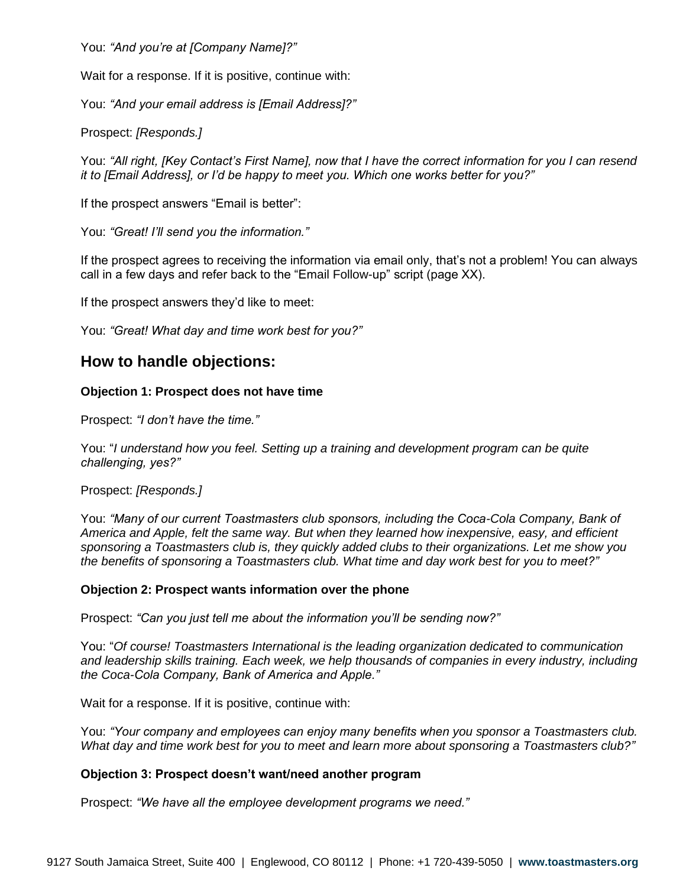You: *"And you're at [Company Name]?"*

Wait for a response. If it is positive, continue with:

You: *"And your email address is [Email Address]?"*

Prospect: *[Responds.]*

You: *"All right, [Key Contact's First Name], now that I have the correct information for you I can resend it to [Email Address], or I'd be happy to meet you. Which one works better for you?"*

If the prospect answers "Email is better":

You: *"Great! I'll send you the information."*

If the prospect agrees to receiving the information via email only, that's not a problem! You can always call in a few days and refer back to the "Email Follow-up" script (page XX).

If the prospect answers they'd like to meet:

You: *"Great! What day and time work best for you?"*

# **How to handle objections:**

### **Objection 1: Prospect does not have time**

Prospect: *"I don't have the time."*

You: "*I understand how you feel. Setting up a training and development program can be quite challenging, yes?"*

### Prospect: *[Responds.]*

You: *"Many of our current Toastmasters club sponsors, including the Coca-Cola Company, Bank of America and Apple, felt the same way. But when they learned how inexpensive, easy, and efficient sponsoring a Toastmasters club is, they quickly added clubs to their organizations. Let me show you the benefits of sponsoring a Toastmasters club. What time and day work best for you to meet?"*

### **Objection 2: Prospect wants information over the phone**

Prospect: *"Can you just tell me about the information you'll be sending now?"*

You: "*Of course! Toastmasters International is the leading organization dedicated to communication and leadership skills training. Each week, we help thousands of companies in every industry, including the Coca-Cola Company, Bank of America and Apple."*

Wait for a response. If it is positive, continue with:

You: *"Your company and employees can enjoy many benefits when you sponsor a Toastmasters club. What day and time work best for you to meet and learn more about sponsoring a Toastmasters club?"*

### **Objection 3: Prospect doesn't want/need another program**

Prospect: *"We have all the employee development programs we need."*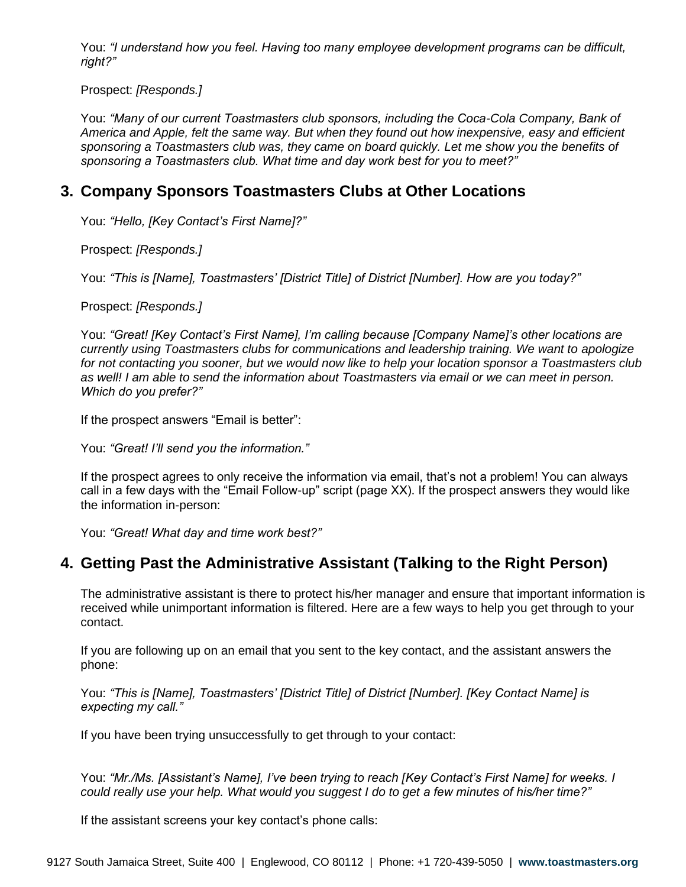You: *"I understand how you feel. Having too many employee development programs can be difficult, right?"*

Prospect: *[Responds.]*

You: *"Many of our current Toastmasters club sponsors, including the Coca-Cola Company, Bank of America and Apple, felt the same way. But when they found out how inexpensive, easy and efficient* sponsoring a Toastmasters club was, they came on board quickly. Let me show you the benefits of *sponsoring a Toastmasters club. What time and day work best for you to meet?"*

## **3. Company Sponsors Toastmasters Clubs at Other Locations**

You: *"Hello, [Key Contact's First Name]?"*

Prospect: *[Responds.]*

You: *"This is [Name], Toastmasters' [District Title] of District [Number]. How are you today?"*

Prospect: *[Responds.]*

You: *"Great! [Key Contact's First Name], I'm calling because [Company Name]'s other locations are currently using Toastmasters clubs for communications and leadership training. We want to apologize for not contacting you sooner, but we would now like to help your location sponsor a Toastmasters club as well! I am able to send the information about Toastmasters via email or we can meet in person. Which do you prefer?"*

If the prospect answers "Email is better":

You: *"Great! I'll send you the information."*

If the prospect agrees to only receive the information via email, that's not a problem! You can always call in a few days with the "Email Follow-up" script (page XX). If the prospect answers they would like the information in-person:

You: *"Great! What day and time work best?"*

# **4. Getting Past the Administrative Assistant (Talking to the Right Person)**

The administrative assistant is there to protect his/her manager and ensure that important information is received while unimportant information is filtered. Here are a few ways to help you get through to your contact.

If you are following up on an email that you sent to the key contact, and the assistant answers the phone:

You: *"This is [Name], Toastmasters' [District Title] of District [Number]. [Key Contact Name] is expecting my call."*

If you have been trying unsuccessfully to get through to your contact:

You: *"Mr./Ms. [Assistant's Name], I've been trying to reach [Key Contact's First Name] for weeks. I could really use your help. What would you suggest I do to get a few minutes of his/her time?"*

If the assistant screens your key contact's phone calls: